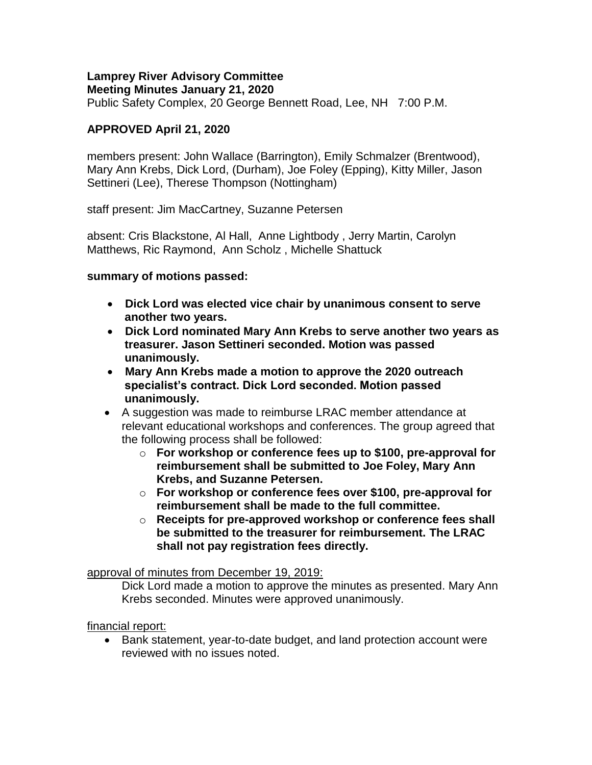#### **Lamprey River Advisory Committee Meeting Minutes January 21, 2020**

Public Safety Complex, 20 George Bennett Road, Lee, NH 7:00 P.M.

# **APPROVED April 21, 2020**

members present: John Wallace (Barrington), Emily Schmalzer (Brentwood), Mary Ann Krebs, Dick Lord, (Durham), Joe Foley (Epping), Kitty Miller, Jason Settineri (Lee), Therese Thompson (Nottingham)

staff present: Jim MacCartney, Suzanne Petersen

absent: Cris Blackstone, Al Hall, Anne Lightbody , Jerry Martin, Carolyn Matthews, Ric Raymond, Ann Scholz , Michelle Shattuck

# **summary of motions passed:**

- **Dick Lord was elected vice chair by unanimous consent to serve another two years.**
- **Dick Lord nominated Mary Ann Krebs to serve another two years as treasurer. Jason Settineri seconded. Motion was passed unanimously.**
- **Mary Ann Krebs made a motion to approve the 2020 outreach specialist's contract. Dick Lord seconded. Motion passed unanimously.**
- A suggestion was made to reimburse LRAC member attendance at relevant educational workshops and conferences. The group agreed that the following process shall be followed:
	- o **For workshop or conference fees up to \$100, pre-approval for reimbursement shall be submitted to Joe Foley, Mary Ann Krebs, and Suzanne Petersen.**
	- o **For workshop or conference fees over \$100, pre-approval for reimbursement shall be made to the full committee.**
	- o **Receipts for pre-approved workshop or conference fees shall be submitted to the treasurer for reimbursement. The LRAC shall not pay registration fees directly.**

#### approval of minutes from December 19, 2019:

Dick Lord made a motion to approve the minutes as presented. Mary Ann Krebs seconded. Minutes were approved unanimously.

#### financial report:

• Bank statement, year-to-date budget, and land protection account were reviewed with no issues noted.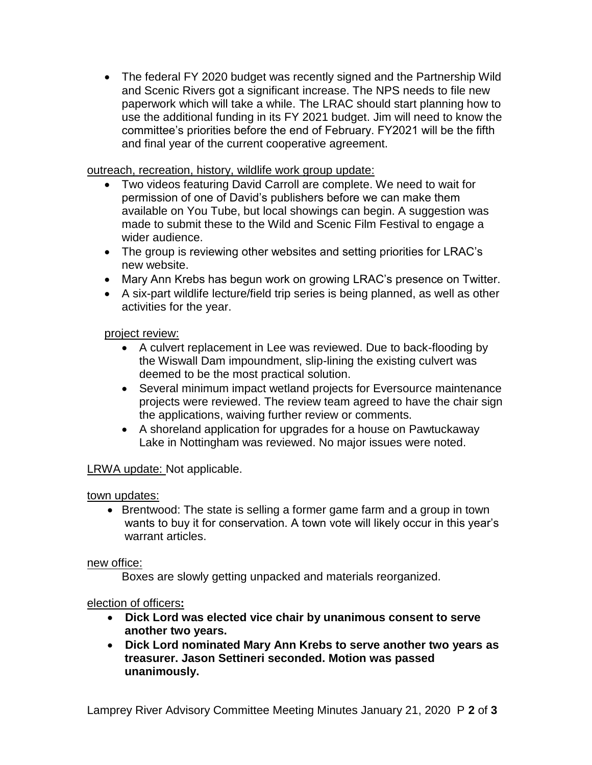The federal FY 2020 budget was recently signed and the Partnership Wild and Scenic Rivers got a significant increase. The NPS needs to file new paperwork which will take a while. The LRAC should start planning how to use the additional funding in its FY 2021 budget. Jim will need to know the committee's priorities before the end of February. FY2021 will be the fifth and final year of the current cooperative agreement.

### outreach, recreation, history, wildlife work group update:

- Two videos featuring David Carroll are complete. We need to wait for permission of one of David's publishers before we can make them available on You Tube, but local showings can begin. A suggestion was made to submit these to the Wild and Scenic Film Festival to engage a wider audience.
- The group is reviewing other websites and setting priorities for LRAC's new website.
- Mary Ann Krebs has begun work on growing LRAC's presence on Twitter.
- A six-part wildlife lecture/field trip series is being planned, as well as other activities for the year.

# project review:

- A culvert replacement in Lee was reviewed. Due to back-flooding by the Wiswall Dam impoundment, slip-lining the existing culvert was deemed to be the most practical solution.
- Several minimum impact wetland projects for Eversource maintenance projects were reviewed. The review team agreed to have the chair sign the applications, waiving further review or comments.
- A shoreland application for upgrades for a house on Pawtuckaway Lake in Nottingham was reviewed. No major issues were noted.

#### LRWA update: Not applicable.

#### town updates:

• Brentwood: The state is selling a former game farm and a group in town wants to buy it for conservation. A town vote will likely occur in this year's warrant articles.

#### new office:

Boxes are slowly getting unpacked and materials reorganized.

# election of officers**:**

- **Dick Lord was elected vice chair by unanimous consent to serve another two years.**
- **Dick Lord nominated Mary Ann Krebs to serve another two years as treasurer. Jason Settineri seconded. Motion was passed unanimously.**